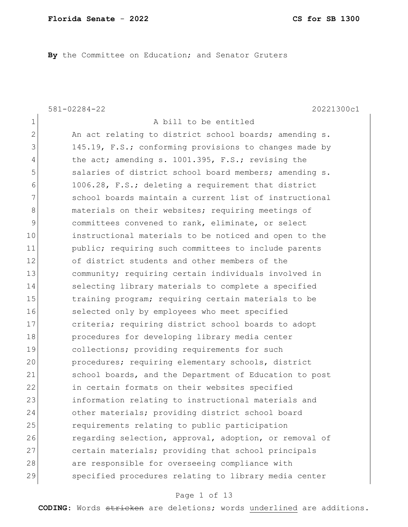By the Committee on Education; and Senator Gruters

581-02284-22 20221300c1

| $\mathbf 1$   | A bill to be entitled                                  |
|---------------|--------------------------------------------------------|
| $\mathbf{2}$  | An act relating to district school boards; amending s. |
| 3             | 145.19, F.S.; conforming provisions to changes made by |
| 4             | the act; amending s. 1001.395, F.S.; revising the      |
| 5             | salaries of district school board members; amending s. |
| 6             | 1006.28, F.S.; deleting a requirement that district    |
| 7             | school boards maintain a current list of instructional |
| 8             | materials on their websites; requiring meetings of     |
| $\mathcal{G}$ | committees convened to rank, eliminate, or select      |
| 10            | instructional materials to be noticed and open to the  |
| 11            | public; requiring such committees to include parents   |
| 12            | of district students and other members of the          |
| 13            | community; requiring certain individuals involved in   |
| 14            | selecting library materials to complete a specified    |
| 15            | training program; requiring certain materials to be    |
| 16            | selected only by employees who meet specified          |
| 17            | criteria; requiring district school boards to adopt    |
| 18            | procedures for developing library media center         |
| 19            | collections; providing requirements for such           |
| 20            | procedures; requiring elementary schools, district     |
| 21            | school boards, and the Department of Education to post |
| 22            | in certain formats on their websites specified         |
| 23            | information relating to instructional materials and    |
| 24            | other materials; providing district school board       |
| 25            | requirements relating to public participation          |
| 26            | regarding selection, approval, adoption, or removal of |
| 27            | certain materials; providing that school principals    |
| 28            | are responsible for overseeing compliance with         |
| 29            | specified procedures relating to library media center  |

# Page 1 of 13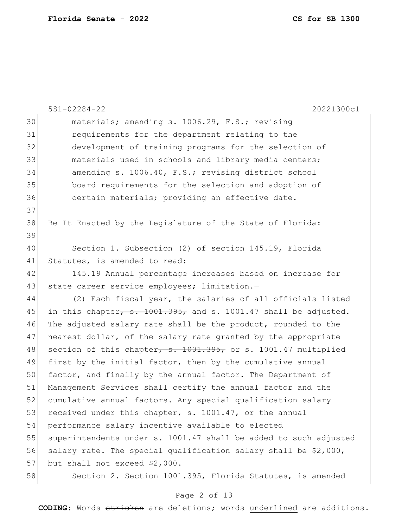|    | $581 - 02284 - 22$<br>20221300c1                                 |
|----|------------------------------------------------------------------|
| 30 | materials; amending s. 1006.29, F.S.; revising                   |
| 31 | requirements for the department relating to the                  |
| 32 | development of training programs for the selection of            |
| 33 | materials used in schools and library media centers;             |
| 34 | amending s. 1006.40, F.S.; revising district school              |
| 35 | board requirements for the selection and adoption of             |
| 36 | certain materials; providing an effective date.                  |
| 37 |                                                                  |
| 38 | Be It Enacted by the Legislature of the State of Florida:        |
| 39 |                                                                  |
| 40 | Section 1. Subsection (2) of section 145.19, Florida             |
| 41 | Statutes, is amended to read:                                    |
| 42 | 145.19 Annual percentage increases based on increase for         |
| 43 | state career service employees; limitation.-                     |
| 44 | (2) Each fiscal year, the salaries of all officials listed       |
| 45 | in this chapter, s. 1001.395, and s. 1001.47 shall be adjusted.  |
| 46 | The adjusted salary rate shall be the product, rounded to the    |
| 47 | nearest dollar, of the salary rate granted by the appropriate    |
| 48 | section of this chapter, s. 1001.395, or s. 1001.47 multiplied   |
| 49 | first by the initial factor, then by the cumulative annual       |
| 50 | factor, and finally by the annual factor. The Department of      |
| 51 | Management Services shall certify the annual factor and the      |
| 52 | cumulative annual factors. Any special qualification salary      |
| 53 | received under this chapter, s. 1001.47, or the annual           |
| 54 | performance salary incentive available to elected                |
| 55 | superintendents under s. 1001.47 shall be added to such adjusted |
| 56 | salary rate. The special qualification salary shall be \$2,000,  |
| 57 | but shall not exceed \$2,000.                                    |
| 58 | Section 2. Section 1001.395, Florida Statutes, is amended        |

# Page 2 of 13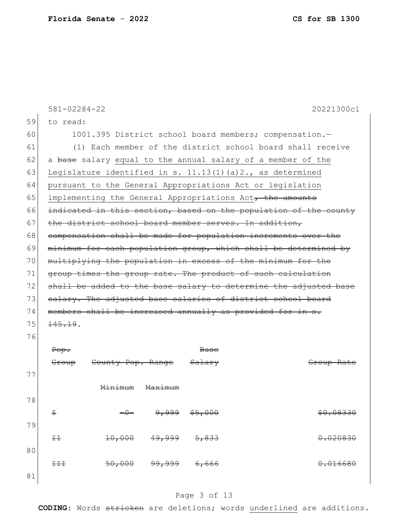|    | $581 - 02284 - 22$ |                              |                    |                   |                                                                  | 20221300c1            |
|----|--------------------|------------------------------|--------------------|-------------------|------------------------------------------------------------------|-----------------------|
| 59 | to read:           |                              |                    |                   |                                                                  |                       |
| 60 |                    |                              |                    |                   | 1001.395 District school board members; compensation.-           |                       |
| 61 |                    |                              |                    |                   | (1) Each member of the district school board shall receive       |                       |
| 62 |                    |                              |                    |                   | a base salary equal to the annual salary of a member of the      |                       |
| 63 |                    |                              |                    |                   | Legislature identified in s. $11.13(1)$ (a) $2.$ , as determined |                       |
| 64 |                    |                              |                    |                   | pursuant to the General Appropriations Act or legislation        |                       |
| 65 |                    |                              |                    |                   | implementing the General Appropriations Act, the amounts         |                       |
| 66 |                    |                              |                    |                   | indicated in this section, based on the population of the county |                       |
| 67 |                    |                              |                    |                   | the district school board member serves. In addition,            |                       |
| 68 |                    |                              |                    |                   | compensation shall be made for population increments over the    |                       |
| 69 |                    |                              |                    |                   | minimum for each population group, which shall be determined by  |                       |
| 70 |                    |                              |                    |                   | multiplying the population in excess of the minimum for the      |                       |
| 71 |                    |                              |                    |                   | group times the group rate. The product of such calculation      |                       |
| 72 |                    |                              |                    |                   | shall be added to the base salary to determine the adjusted base |                       |
| 73 |                    |                              |                    |                   | salary. The adjusted base salaries of district school board      |                       |
| 74 |                    |                              |                    |                   | members shall be increased annually as provided for in s.        |                       |
| 75 | 145.19.            |                              |                    |                   |                                                                  |                       |
| 76 |                    |                              |                    |                   |                                                                  |                       |
|    | Pop.               |                              |                    | <del>Base</del>   |                                                                  |                       |
|    | <del>Group</del>   | <del>County Pop. Range</del> |                    | <del>Salary</del> |                                                                  | <del>Group Rate</del> |
| 77 |                    |                              |                    |                   |                                                                  |                       |
|    |                    | <del>Minimum</del>           | <del>Maximum</del> |                   |                                                                  |                       |
| 78 |                    |                              |                    |                   |                                                                  |                       |
|    | Ŧ                  |                              | <u>وووړو</u>       | \$5,000           |                                                                  | \$0.08330             |
| 79 |                    |                              |                    |                   |                                                                  |                       |
|    | $++$               | 10,000                       | 49,999             | 5,833             |                                                                  | 0.020830              |
| 80 |                    |                              |                    |                   |                                                                  |                       |
|    | $+++$              | 50,000                       | <del>99,999</del>  | 6,666             |                                                                  | 0.016680              |
| 81 |                    |                              |                    |                   |                                                                  |                       |

# Page 3 of 13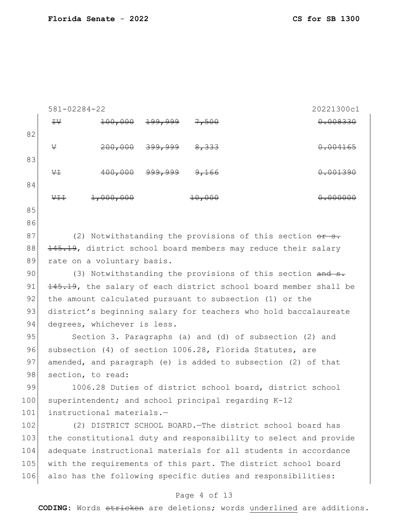|            | $581 - 02284 - 22$                                      |                             |         |                                                                                                                               | 20221300c1 |
|------------|---------------------------------------------------------|-----------------------------|---------|-------------------------------------------------------------------------------------------------------------------------------|------------|
|            | $\pm \vee$                                              | 100,000                     |         | <del>7,500</del>                                                                                                              | 0.008330   |
| 82         |                                                         |                             |         |                                                                                                                               |            |
|            | V                                                       | 200,000                     | 399,999 | 8,333                                                                                                                         | 004165     |
| 83         |                                                         |                             |         |                                                                                                                               |            |
|            | ₩                                                       | 400,000                     | ووو     | <del>9,166</del>                                                                                                              | 0.001390   |
| 84         |                                                         |                             |         |                                                                                                                               |            |
|            | ₩Ŧ.                                                     | 1,000,000                   |         | <del>10,000</del>                                                                                                             |            |
| 85         |                                                         |                             |         |                                                                                                                               |            |
| 86         |                                                         |                             |         |                                                                                                                               |            |
| 87         |                                                         |                             |         | (2) Notwithstanding the provisions of this section or s.                                                                      |            |
| 88         |                                                         |                             |         | 145.19, district school board members may reduce their salary                                                                 |            |
| 89         |                                                         | rate on a voluntary basis.  |         |                                                                                                                               |            |
| 90         |                                                         |                             |         | (3) Notwithstanding the provisions of this section and s.                                                                     |            |
| 91         |                                                         |                             |         | 145.19, the salary of each district school board member shall be                                                              |            |
| 92         | the amount calculated pursuant to subsection (1) or the |                             |         |                                                                                                                               |            |
| 93         |                                                         |                             |         | district's beginning salary for teachers who hold baccalaureate                                                               |            |
| 94         |                                                         | degrees, whichever is less. |         |                                                                                                                               |            |
| 95         |                                                         |                             |         | Section 3. Paragraphs (a) and (d) of subsection (2) and                                                                       |            |
| 96         |                                                         |                             |         | subsection (4) of section 1006.28, Florida Statutes, are                                                                      |            |
| 97         |                                                         |                             |         | amended, and paragraph (e) is added to subsection (2) of that                                                                 |            |
| 98         |                                                         | section, to read:           |         |                                                                                                                               |            |
| 99         |                                                         |                             |         | 1006.28 Duties of district school board, district school                                                                      |            |
| 100        |                                                         |                             |         | superintendent; and school principal regarding K-12                                                                           |            |
| 101        |                                                         | instructional materials.-   |         |                                                                                                                               |            |
| 102        |                                                         |                             |         | (2) DISTRICT SCHOOL BOARD. The district school board has                                                                      |            |
| 103        |                                                         |                             |         | the constitutional duty and responsibility to select and provide                                                              |            |
| 104<br>105 |                                                         |                             |         | adequate instructional materials for all students in accordance                                                               |            |
| 106        |                                                         |                             |         | with the requirements of this part. The district school board<br>also has the following specific duties and responsibilities: |            |
|            |                                                         |                             |         |                                                                                                                               |            |
|            |                                                         |                             |         | Page 4 of 13                                                                                                                  |            |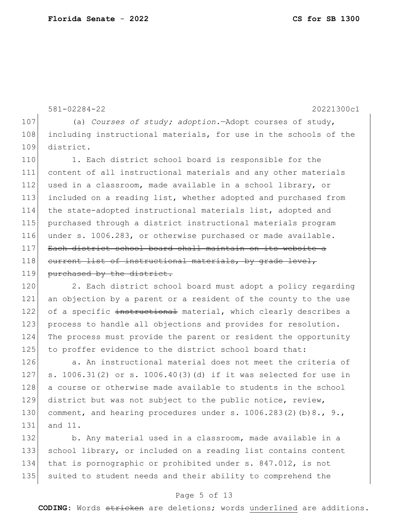581-02284-22 20221300c1 107 (a) *Courses of study; adoption.*—Adopt courses of study, 108 including instructional materials, for use in the schools of the 109 district. 110 1. Each district school board is responsible for the 111 content of all instructional materials and any other materials 112 used in a classroom, made available in a school library, or 113 included on a reading list, whether adopted and purchased from 114 the state-adopted instructional materials list, adopted and 115 purchased through a district instructional materials program 116 under s. 1006.283, or otherwise purchased or made available. 117 Each district school board shall maintain on its website a 118 current list of instructional materials, by grade level, 119 purchased by the district. 120 2. Each district school board must adopt a policy regarding 121 an objection by a parent or a resident of the county to the use 122 of a specific instructional material, which clearly describes a

123 process to handle all objections and provides for resolution. 124 The process must provide the parent or resident the opportunity 125 to proffer evidence to the district school board that:

126 a. An instructional material does not meet the criteria of 127 s. 1006.31(2) or s. 1006.40(3)(d) if it was selected for use in 128 a course or otherwise made available to students in the school 129 district but was not subject to the public notice, review, 130 comment, and hearing procedures under s.  $1006.283(2)(b)8.$ , 9., 131 and 11.

132 b. Any material used in a classroom, made available in a 133 school library, or included on a reading list contains content 134 that is pornographic or prohibited under s. 847.012, is not 135 suited to student needs and their ability to comprehend the

#### Page 5 of 13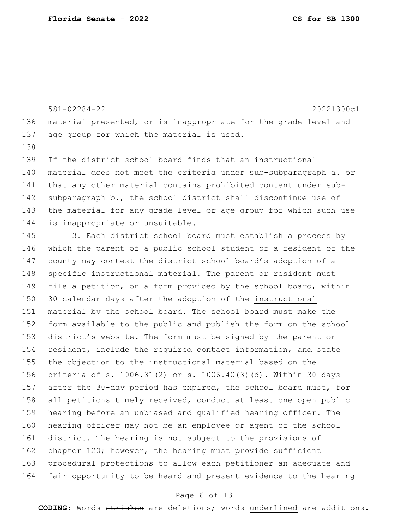581-02284-22 20221300c1 136 material presented, or is inappropriate for the grade level and 137 age group for which the material is used. 138 139 If the district school board finds that an instructional 140 material does not meet the criteria under sub-subparagraph a. or

141 that any other material contains prohibited content under sub-142 subparagraph b., the school district shall discontinue use of 143 the material for any grade level or age group for which such use 144 is inappropriate or unsuitable.

145 3. Each district school board must establish a process by 146 which the parent of a public school student or a resident of the 147 county may contest the district school board's adoption of a 148 specific instructional material. The parent or resident must 149 file a petition, on a form provided by the school board, within 150 30 calendar days after the adoption of the instructional 151 material by the school board. The school board must make the 152 form available to the public and publish the form on the school 153 district's website. The form must be signed by the parent or 154 resident, include the required contact information, and state 155 the objection to the instructional material based on the 156 criteria of s. 1006.31(2) or s. 1006.40(3)(d). Within 30 days 157 after the 30-day period has expired, the school board must, for 158 all petitions timely received, conduct at least one open public 159 hearing before an unbiased and qualified hearing officer. The 160 hearing officer may not be an employee or agent of the school 161 district. The hearing is not subject to the provisions of 162 chapter 120; however, the hearing must provide sufficient 163 procedural protections to allow each petitioner an adequate and 164 fair opportunity to be heard and present evidence to the hearing

### Page 6 of 13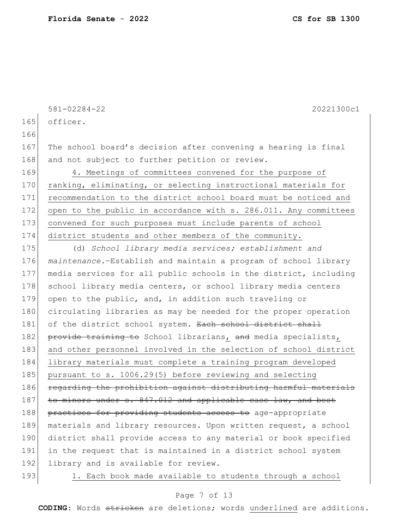165 officer. 166 167 The school board's decision after convening a hearing is final 168 and not subject to further petition or review. 169 4. Meetings of committees convened for the purpose of 170 ranking, eliminating, or selecting instructional materials for 171 recommendation to the district school board must be noticed and 172 open to the public in accordance with s. 286.011. Any committees 173 convened for such purposes must include parents of school 174 district students and other members of the community. 175 (d) *School library media services; establishment and*  176 *maintenance.*—Establish and maintain a program of school library 177 media services for all public schools in the district, including 178 school library media centers, or school library media centers 179 open to the public, and, in addition such traveling or 180 circulating libraries as may be needed for the proper operation 181 of the district school system. Each school district shall 182 provide training to School librarians, and media specialists, 183 and other personnel involved in the selection of school district 184 library materials must complete a training program developed 185 pursuant to s. 1006.29(5) before reviewing and selecting 186 regarding the prohibition against distributing harmful materials  $187$  to minors under s.  $847.012$  and applicable case law, and best 188 practices for providing students access to age-appropriate 189 materials and library resources. Upon written request, a school 190 district shall provide access to any material or book specified 191 in the request that is maintained in a district school system 192 library and is available for review.

581-02284-22 20221300c1

193 1. Each book made available to students through a school

#### Page 7 of 13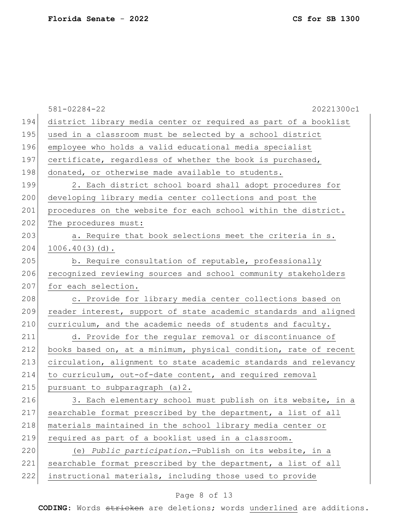|     | $581 - 02284 - 22$<br>20221300c1                                 |
|-----|------------------------------------------------------------------|
| 194 | district library media center or required as part of a booklist  |
| 195 | used in a classroom must be selected by a school district        |
| 196 | employee who holds a valid educational media specialist          |
| 197 | certificate, regardless of whether the book is purchased,        |
| 198 | donated, or otherwise made available to students.                |
| 199 | 2. Each district school board shall adopt procedures for         |
| 200 | developing library media center collections and post the         |
| 201 | procedures on the website for each school within the district.   |
| 202 | The procedures must:                                             |
| 203 | a. Require that book selections meet the criteria in s.          |
| 204 | $1006.40(3)(d)$ .                                                |
| 205 | b. Require consultation of reputable, professionally             |
| 206 | recognized reviewing sources and school community stakeholders   |
| 207 | for each selection.                                              |
| 208 | c. Provide for library media center collections based on         |
| 209 | reader interest, support of state academic standards and aligned |
| 210 | curriculum, and the academic needs of students and faculty.      |
| 211 | d. Provide for the regular removal or discontinuance of          |
| 212 | books based on, at a minimum, physical condition, rate of recent |
| 213 | circulation, alignment to state academic standards and relevancy |
| 214 | to curriculum, out-of-date content, and required removal         |
| 215 | pursuant to subparagraph (a) 2.                                  |
| 216 | 3. Each elementary school must publish on its website, in a      |
| 217 | searchable format prescribed by the department, a list of all    |
| 218 | materials maintained in the school library media center or       |
| 219 | required as part of a booklist used in a classroom.              |
| 220 | (e) Public participation. - Publish on its website, in a         |
| 221 | searchable format prescribed by the department, a list of all    |
| 222 | instructional materials, including those used to provide         |
|     |                                                                  |

# Page 8 of 13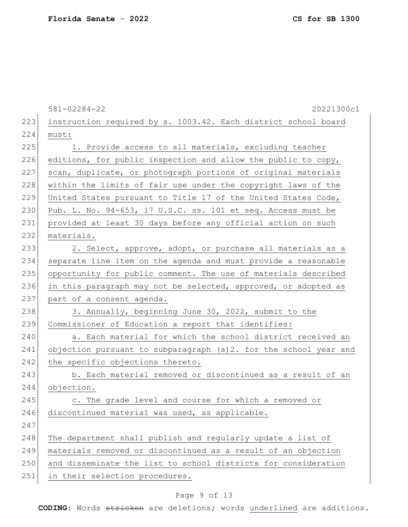|     | $581 - 02284 - 22$<br>20221300c1                                  |
|-----|-------------------------------------------------------------------|
| 223 | instruction required by s. 1003.42. Each district school board    |
| 224 | must:                                                             |
| 225 | 1. Provide access to all materials, excluding teacher             |
| 226 | editions, for public inspection and allow the public to copy,     |
| 227 | scan, duplicate, or photograph portions of original materials     |
| 228 | within the limits of fair use under the copyright laws of the     |
| 229 | United States pursuant to Title 17 of the United States Code,     |
| 230 | Pub. L. No. 94-653, 17 U.S.C. ss. 101 et seq. Access must be      |
| 231 | provided at least 30 days before any official action on such      |
| 232 | materials.                                                        |
| 233 | 2. Select, approve, adopt, or purchase all materials as a         |
| 234 | separate line item on the agenda and must provide a reasonable    |
| 235 | opportunity for public comment. The use of materials described    |
| 236 | in this paragraph may not be selected, approved, or adopted as    |
| 237 | part of a consent agenda.                                         |
| 238 | 3. Annually, beginning June 30, 2022, submit to the               |
| 239 | Commissioner of Education a report that identifies:               |
| 240 | a. Each material for which the school district received an        |
| 241 | objection pursuant to subparagraph (a) 2. for the school year and |
| 242 | the specific objections thereto.                                  |
| 243 | b. Each material removed or discontinued as a result of an        |
| 244 | objection.                                                        |
| 245 | c. The grade level and course for which a removed or              |
| 246 | discontinued material was used, as applicable.                    |
| 247 |                                                                   |
| 248 | The department shall publish and regularly update a list of       |
| 249 | materials removed or discontinued as a result of an objection     |
| 250 | and disseminate the list to school districts for consideration    |
| 251 | in their selection procedures.                                    |

# Page 9 of 13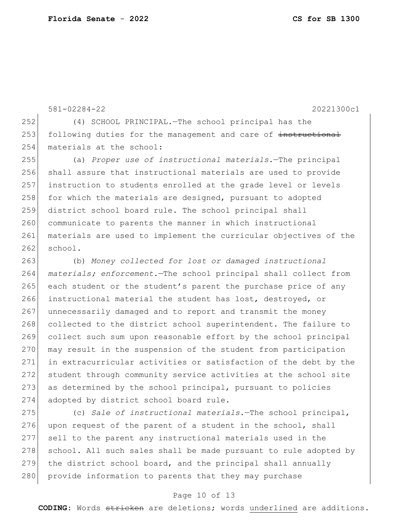581-02284-22 20221300c1 252 (4) SCHOOL PRINCIPAL.—The school principal has the 253 following duties for the management and care of instructional 254 materials at the school: 255 (a) *Proper use of instructional materials.*—The principal 256 shall assure that instructional materials are used to provide 257 instruction to students enrolled at the grade level or levels  $258$  for which the materials are designed, pursuant to adopted 259 district school board rule. The school principal shall 260 communicate to parents the manner in which instructional 261 materials are used to implement the curricular objectives of the  $262$  school. 263 (b) *Money collected for lost or damaged instructional*  264 *materials; enforcement.*—The school principal shall collect from 265 each student or the student's parent the purchase price of any 266 instructional material the student has lost, destroyed, or 267 unnecessarily damaged and to report and transmit the money 268 collected to the district school superintendent. The failure to 269 collect such sum upon reasonable effort by the school principal 270 may result in the suspension of the student from participation 271 in extracurricular activities or satisfaction of the debt by the 272 student through community service activities at the school site 273 as determined by the school principal, pursuant to policies 274 adopted by district school board rule.

275 (c) *Sale of instructional materials.*—The school principal, 276 upon request of the parent of a student in the school, shall 277 sell to the parent any instructional materials used in the 278 school. All such sales shall be made pursuant to rule adopted by 279 the district school board, and the principal shall annually 280 provide information to parents that they may purchase

#### Page 10 of 13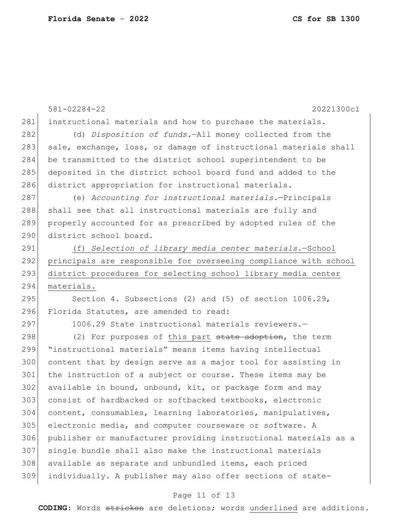581-02284-22 20221300c1 281 instructional materials and how to purchase the materials. (d) *Disposition of funds.*—All money collected from the 283 sale, exchange, loss, or damage of instructional materials shall be transmitted to the district school superintendent to be deposited in the district school board fund and added to the 286 district appropriation for instructional materials. (e) *Accounting for instructional materials.*—Principals 288 shall see that all instructional materials are fully and properly accounted for as prescribed by adopted rules of the district school board. (f) *Selection of library media center materials.*—School principals are responsible for overseeing compliance with school district procedures for selecting school library media center materials. 295 Section 4. Subsections (2) and (5) of section 1006.29, 296 Florida Statutes, are amended to read: 297 1006.29 State instructional materials reviewers. 298 (2) For purposes of this part state adoption, the term "instructional materials" means items having intellectual content that by design serve as a major tool for assisting in the instruction of a subject or course. These items may be available in bound, unbound, kit, or package form and may consist of hardbacked or softbacked textbooks, electronic content, consumables, learning laboratories, manipulatives, electronic media, and computer courseware or software. A publisher or manufacturer providing instructional materials as a single bundle shall also make the instructional materials available as separate and unbundled items, each priced individually. A publisher may also offer sections of state-

#### Page 11 of 13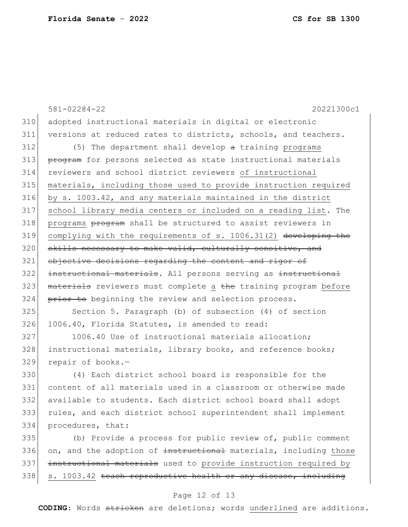334 procedures, that:

|     | $581 - 02284 - 22$<br>20221300c1                                |
|-----|-----------------------------------------------------------------|
| 310 | adopted instructional materials in digital or electronic        |
| 311 | versions at reduced rates to districts, schools, and teachers.  |
| 312 | (5) The department shall develop a training programs            |
| 313 | program for persons selected as state instructional materials   |
| 314 | reviewers and school district reviewers of instructional        |
| 315 | materials, including those used to provide instruction required |
| 316 | by s. 1003.42, and any materials maintained in the district     |
| 317 | school library media centers or included on a reading list. The |
| 318 | programs program shall be structured to assist reviewers in     |
| 319 | complying with the requirements of s. 1006.31(2) developing the |
| 320 | skills necessary to make valid, culturally sensitive, and       |
| 321 | objective decisions regarding the content and rigor of          |
| 322 | instructional materials. All persons serving as instructional   |
| 323 | materials reviewers must complete a the training program before |
| 324 | prior to beginning the review and selection process.            |
| 325 | Section 5. Paragraph (b) of subsection (4) of section           |
| 326 | 1006.40, Florida Statutes, is amended to read:                  |
| 327 | 1006.40 Use of instructional materials allocation;              |
| 328 | instructional materials, library books, and reference books;    |
| 329 | repair of books.-                                               |
| 330 | (4) Each district school board is responsible for the           |
| 331 | content of all materials used in a classroom or otherwise made  |
| 332 | available to students. Each district school board shall adopt   |

335 (b) Provide a process for public review of, public comment 336 on, and the adoption of instructional materials, including those 337 instructional materials used to provide instruction required by  $338$  s. 1003.42 teach reproductive health or any disease, including

333 rules, and each district school superintendent shall implement

### Page 12 of 13